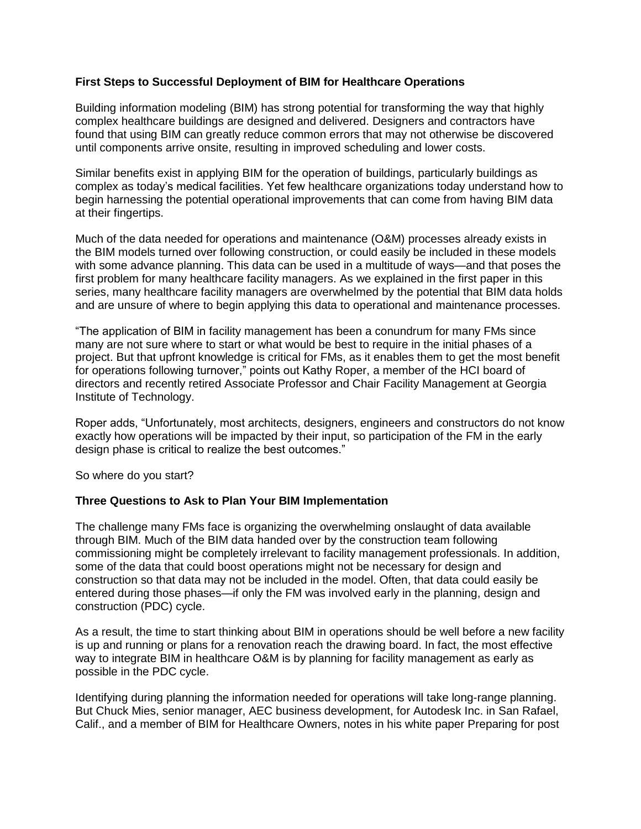# **First Steps to Successful Deployment of BIM for Healthcare Operations**

Building information modeling (BIM) has strong potential for transforming the way that highly complex healthcare buildings are designed and delivered. Designers and contractors have found that using BIM can greatly reduce common errors that may not otherwise be discovered until components arrive onsite, resulting in improved scheduling and lower costs.

Similar benefits exist in applying BIM for the operation of buildings, particularly buildings as complex as today's medical facilities. Yet few healthcare organizations today understand how to begin harnessing the potential operational improvements that can come from having BIM data at their fingertips.

Much of the data needed for operations and maintenance (O&M) processes already exists in the BIM models turned over following construction, or could easily be included in these models with some advance planning. This data can be used in a multitude of ways—and that poses the first problem for many healthcare facility managers. As we explained in the first paper in this series, many healthcare facility managers are overwhelmed by the potential that BIM data holds and are unsure of where to begin applying this data to operational and maintenance processes.

"The application of BIM in facility management has been a conundrum for many FMs since many are not sure where to start or what would be best to require in the initial phases of a project. But that upfront knowledge is critical for FMs, as it enables them to get the most benefit for operations following turnover," points out Kathy Roper, a member of the HCI board of directors and recently retired Associate Professor and Chair Facility Management at Georgia Institute of Technology.

Roper adds, "Unfortunately, most architects, designers, engineers and constructors do not know exactly how operations will be impacted by their input, so participation of the FM in the early design phase is critical to realize the best outcomes."

So where do you start?

# **Three Questions to Ask to Plan Your BIM Implementation**

The challenge many FMs face is organizing the overwhelming onslaught of data available through BIM. Much of the BIM data handed over by the construction team following commissioning might be completely irrelevant to facility management professionals. In addition, some of the data that could boost operations might not be necessary for design and construction so that data may not be included in the model. Often, that data could easily be entered during those phases—if only the FM was involved early in the planning, design and construction (PDC) cycle.

As a result, the time to start thinking about BIM in operations should be well before a new facility is up and running or plans for a renovation reach the drawing board. In fact, the most effective way to integrate BIM in healthcare O&M is by planning for facility management as early as possible in the PDC cycle.

Identifying during planning the information needed for operations will take long-range planning. But Chuck Mies, senior manager, AEC business development, for Autodesk Inc. in San Rafael, Calif., and a member of BIM for Healthcare Owners, notes in his white paper Preparing for post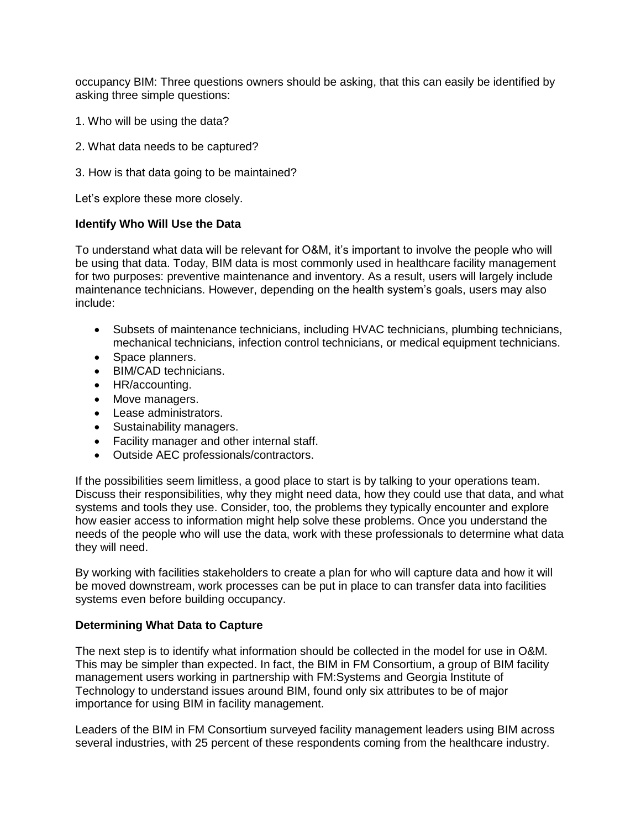occupancy BIM: Three questions owners should be asking, that this can easily be identified by asking three simple questions:

- 1. Who will be using the data?
- 2. What data needs to be captured?
- 3. How is that data going to be maintained?

Let's explore these more closely.

## **Identify Who Will Use the Data**

To understand what data will be relevant for O&M, it's important to involve the people who will be using that data. Today, BIM data is most commonly used in healthcare facility management for two purposes: preventive maintenance and inventory. As a result, users will largely include maintenance technicians. However, depending on the health system's goals, users may also include:

- Subsets of maintenance technicians, including HVAC technicians, plumbing technicians, mechanical technicians, infection control technicians, or medical equipment technicians.
- Space planners.
- BIM/CAD technicians.
- HR/accounting.
- Move managers.
- Lease administrators.
- Sustainability managers.
- Facility manager and other internal staff.
- Outside AEC professionals/contractors.

If the possibilities seem limitless, a good place to start is by talking to your operations team. Discuss their responsibilities, why they might need data, how they could use that data, and what systems and tools they use. Consider, too, the problems they typically encounter and explore how easier access to information might help solve these problems. Once you understand the needs of the people who will use the data, work with these professionals to determine what data they will need.

By working with facilities stakeholders to create a plan for who will capture data and how it will be moved downstream, work processes can be put in place to can transfer data into facilities systems even before building occupancy.

### **Determining What Data to Capture**

The next step is to identify what information should be collected in the model for use in O&M. This may be simpler than expected. In fact, the BIM in FM Consortium, a group of BIM facility management users working in partnership with FM:Systems and Georgia Institute of Technology to understand issues around BIM, found only six attributes to be of major importance for using BIM in facility management.

Leaders of the BIM in FM Consortium surveyed facility management leaders using BIM across several industries, with 25 percent of these respondents coming from the healthcare industry.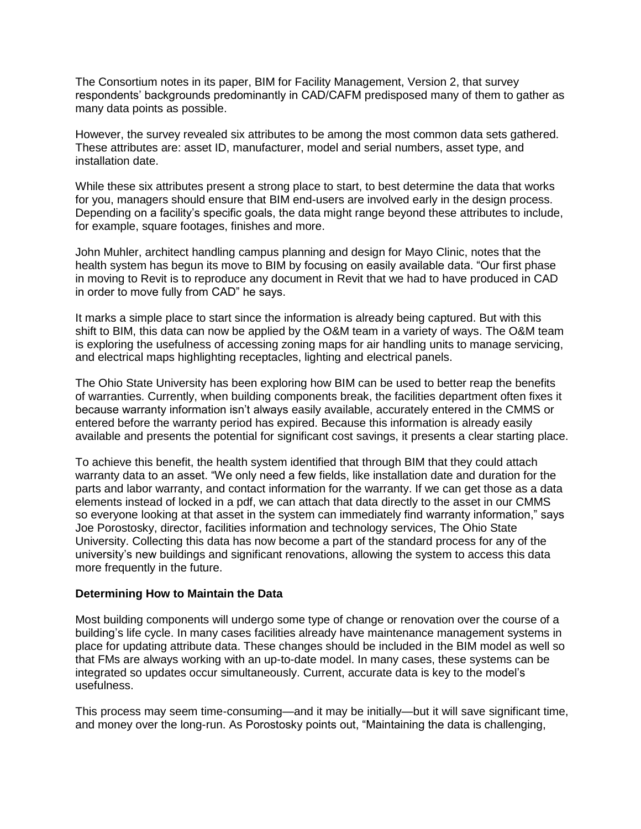The Consortium notes in its paper, BIM for Facility Management, Version 2, that survey respondents' backgrounds predominantly in CAD/CAFM predisposed many of them to gather as many data points as possible.

However, the survey revealed six attributes to be among the most common data sets gathered. These attributes are: asset ID, manufacturer, model and serial numbers, asset type, and installation date.

While these six attributes present a strong place to start, to best determine the data that works for you, managers should ensure that BIM end-users are involved early in the design process. Depending on a facility's specific goals, the data might range beyond these attributes to include, for example, square footages, finishes and more.

John Muhler, architect handling campus planning and design for Mayo Clinic, notes that the health system has begun its move to BIM by focusing on easily available data. "Our first phase in moving to Revit is to reproduce any document in Revit that we had to have produced in CAD in order to move fully from CAD" he says.

It marks a simple place to start since the information is already being captured. But with this shift to BIM, this data can now be applied by the O&M team in a variety of ways. The O&M team is exploring the usefulness of accessing zoning maps for air handling units to manage servicing, and electrical maps highlighting receptacles, lighting and electrical panels.

The Ohio State University has been exploring how BIM can be used to better reap the benefits of warranties. Currently, when building components break, the facilities department often fixes it because warranty information isn't always easily available, accurately entered in the CMMS or entered before the warranty period has expired. Because this information is already easily available and presents the potential for significant cost savings, it presents a clear starting place.

To achieve this benefit, the health system identified that through BIM that they could attach warranty data to an asset. "We only need a few fields, like installation date and duration for the parts and labor warranty, and contact information for the warranty. If we can get those as a data elements instead of locked in a pdf, we can attach that data directly to the asset in our CMMS so everyone looking at that asset in the system can immediately find warranty information," says Joe Porostosky, director, facilities information and technology services, The Ohio State University. Collecting this data has now become a part of the standard process for any of the university's new buildings and significant renovations, allowing the system to access this data more frequently in the future.

### **Determining How to Maintain the Data**

Most building components will undergo some type of change or renovation over the course of a building's life cycle. In many cases facilities already have maintenance management systems in place for updating attribute data. These changes should be included in the BIM model as well so that FMs are always working with an up-to-date model. In many cases, these systems can be integrated so updates occur simultaneously. Current, accurate data is key to the model's usefulness.

This process may seem time-consuming—and it may be initially—but it will save significant time, and money over the long-run. As Porostosky points out, "Maintaining the data is challenging,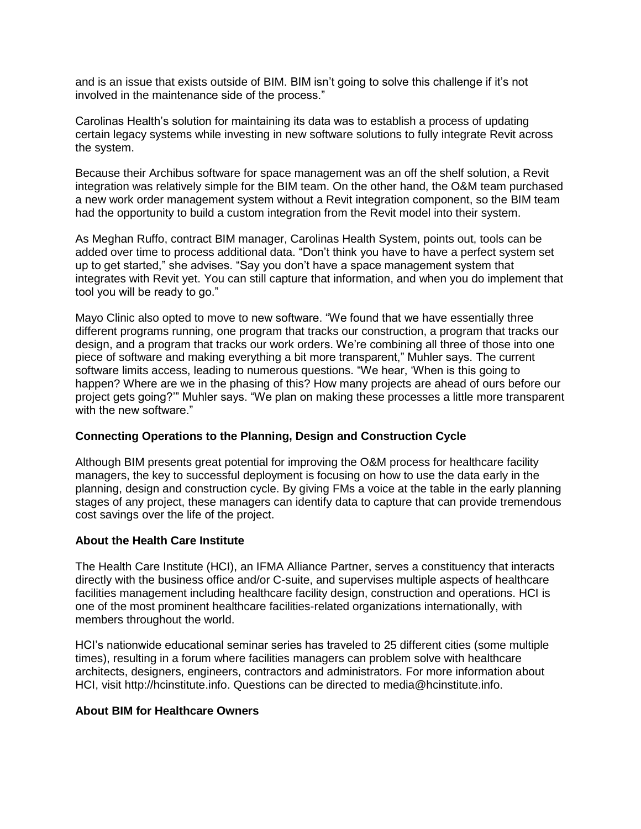and is an issue that exists outside of BIM. BIM isn't going to solve this challenge if it's not involved in the maintenance side of the process."

Carolinas Health's solution for maintaining its data was to establish a process of updating certain legacy systems while investing in new software solutions to fully integrate Revit across the system.

Because their Archibus software for space management was an off the shelf solution, a Revit integration was relatively simple for the BIM team. On the other hand, the O&M team purchased a new work order management system without a Revit integration component, so the BIM team had the opportunity to build a custom integration from the Revit model into their system.

As Meghan Ruffo, contract BIM manager, Carolinas Health System, points out, tools can be added over time to process additional data. "Don't think you have to have a perfect system set up to get started," she advises. "Say you don't have a space management system that integrates with Revit yet. You can still capture that information, and when you do implement that tool you will be ready to go."

Mayo Clinic also opted to move to new software. "We found that we have essentially three different programs running, one program that tracks our construction, a program that tracks our design, and a program that tracks our work orders. We're combining all three of those into one piece of software and making everything a bit more transparent," Muhler says. The current software limits access, leading to numerous questions. "We hear, 'When is this going to happen? Where are we in the phasing of this? How many projects are ahead of ours before our project gets going?'" Muhler says. "We plan on making these processes a little more transparent with the new software."

# **Connecting Operations to the Planning, Design and Construction Cycle**

Although BIM presents great potential for improving the O&M process for healthcare facility managers, the key to successful deployment is focusing on how to use the data early in the planning, design and construction cycle. By giving FMs a voice at the table in the early planning stages of any project, these managers can identify data to capture that can provide tremendous cost savings over the life of the project.

# **About the Health Care Institute**

The Health Care Institute (HCI), an IFMA Alliance Partner, serves a constituency that interacts directly with the business office and/or C-suite, and supervises multiple aspects of healthcare facilities management including healthcare facility design, construction and operations. HCI is one of the most prominent healthcare facilities-related organizations internationally, with members throughout the world.

HCI's nationwide educational seminar series has traveled to 25 different cities (some multiple times), resulting in a forum where facilities managers can problem solve with healthcare architects, designers, engineers, contractors and administrators. For more information about HCI, visit http://hcinstitute.info. Questions can be directed to media@hcinstitute.info.

### **About BIM for Healthcare Owners**